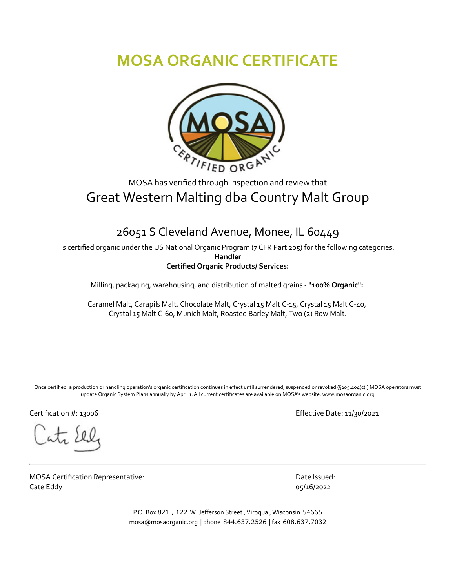## **MOSA ORGANIC CERTIFICATE**



## MOSA has verified through inspection and review that Great Western Malting dba Country Malt Group

## 26051 S Cleveland Avenue, Monee, IL 60449

is certified organic under the US National Organic Program (7 CFR Part 205) for the following categories: **Handler Certified Organic Products/ Services:**

Milling, packaging, warehousing, and distribution of malted grains - **"100% Organic":**

Caramel Malt, Carapils Malt, Chocolate Malt, Crystal 15 Malt C-15, Crystal 15 Malt C-40, Crystal 15 Malt C-60, Munich Malt, Roasted Barley Malt, Two (2) Row Malt.

Once certified, a production or handling operation's organic certification continues in effect until surrendered, suspended or revoked (§205.404(c).) MOSA operators must update Organic System Plans annually by April 1. All current certificates are available on MOSA's website: www.mosaorganic.org

MOSA Certification Representative: Cate Eddy

Certification #: 13006 Effective Date: 11/30/2021

Date Issued: 05/16/2022

P.O. Box 821, 122 W. Jefferson Street, Viroqua, Wisconsin 54665 mosa@mosaorganic.org | phone 844.637.2526 | fax 608.637.7032